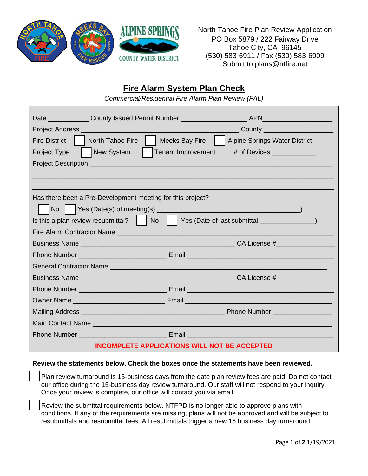

North Tahoe Fire Plan Review Application PO Box 5879 / 222 Fairway Drive Tahoe City, CA 96145 (530) 583-6911 / Fax (530) 583-6909 Submit to plans@ntfire.net

## **Fire Alarm System Plan Check**

*Commercial/Residential Fire Alarm Plan Review (FAL)*

| <b>Fire District</b><br><b>North Tahoe Fire</b>                                                                         | Meeks Bay Fire<br><b>Alpine Springs Water District</b> |  |
|-------------------------------------------------------------------------------------------------------------------------|--------------------------------------------------------|--|
| New System<br>Project Type                                                                                              | Tenant Improvement<br># of Devices _____________       |  |
|                                                                                                                         |                                                        |  |
|                                                                                                                         |                                                        |  |
|                                                                                                                         |                                                        |  |
| Has there been a Pre-Development meeting for this project?                                                              |                                                        |  |
| <b>No</b>                                                                                                               |                                                        |  |
| Is this a plan review resubmittal?     No     Yes (Date of last submittal _______________)                              |                                                        |  |
|                                                                                                                         |                                                        |  |
|                                                                                                                         |                                                        |  |
|                                                                                                                         |                                                        |  |
|                                                                                                                         |                                                        |  |
|                                                                                                                         |                                                        |  |
|                                                                                                                         |                                                        |  |
|                                                                                                                         |                                                        |  |
|                                                                                                                         |                                                        |  |
|                                                                                                                         |                                                        |  |
| <b>Phone Number Community Community Community Community Community Community Community Community Community Community</b> |                                                        |  |
| <b>INCOMPLETE APPLICATIONS WILL NOT BE ACCEPTED</b>                                                                     |                                                        |  |

## **Review the statements below. Check the boxes once the statements have been reviewed.**

Plan review turnaround is 15-business days from the date plan review fees are paid. Do not contact our office during the 15-business day review turnaround. Our staff will not respond to your inquiry. Once your review is complete, our office will contact you via email.

Review the submittal requirements below. NTFPD is no longer able to approve plans with conditions. If any of the requirements are missing, plans will not be approved and will be subject to resubmittals and resubmittal fees. All resubmittals trigger a new 15 business day turnaround.